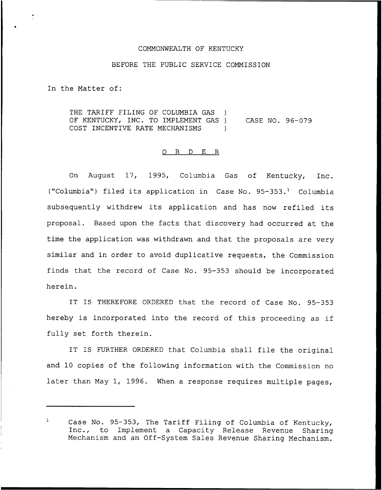## COMMONWEALTH OF KENTUCKY

## BEFORE THE PUBLIC SERVICE COMMISSION

In the Matter of:

THE TARIFF FILING OF COLUMBIA GAS ) OF KENTUCKY, INC. TO IMPLEMENT GAS ) COST INCENTIVE RATE MECHANISMS ) CASE NO. 96-079

## O R D E R

On August 17, 1995, Columbia Gas of Kentucky, Inc. ("Columbia") filed its application in Case No. 95-353.<sup>1</sup> Columbia subsequently withdrew its application and has now refiled its proposal. Based upon the facts that discovery had occurred at the time the application was withdrawn and that the proposals are very similar and in order to avoid duplicative requests, the Commission finds that the record of Case No. 95-353 should be incorporated herein.

IT IS THEREFORE ORDERED that the record of Case No. 95-353 hereby is incorporated into the record of this proceeding as if fully set forth therein.

IT IS FURTHER ORDERED that Columbia shall file the original and 10 copies of the following information with the Commission no later than May 1, 1996. When <sup>a</sup> response requires multiple pages,

 $\mathbf{1}$ Case No. 95-353, The Tariff Filing of Columbia of Kentucky, Inc., to Implement <sup>a</sup> Capacity Release Revenue Sharing Mechanism and an Off-System Sales Revenue Sharing Mechanism.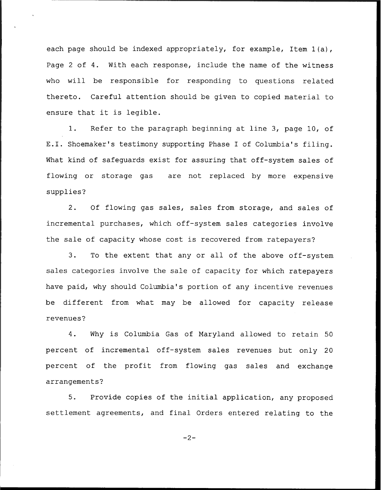each page should be indexed appropriately, for example, Item 1(a), Page <sup>2</sup> of 4. With each response, include the name of the witness who will be responsible for responding to questions related thereto. Careful attention should be given to copied material to ensure that it is legible.

1. Refer to the paragraph beginning at line 3, page 10, of E.I. Shoemaker's testimony supporting Phase I of Columbia's filing. What kind of safeguards exist for assuring that off-system sales of flowing or storage gas are not replaced by more expensive supplies?

2. Of flowing gas sales, sales from storage, and sales of incremental purchases, which off-system sales categories involve the sale of capacity whose cost is recovered from ratepayers?

3. To the extent that any or all of the above off-system sales categories involve the sale of capacity for which ratepayers have paid, why should Columbia's portion of any incentive revenues be different from what may be allowed for capacity release revenues'

4. Why is Columbia Gas of Maryland allowed to retain 50 percent of incremental off-system sales revenues but only 20 percent of the profit from flowing gas sales and exchange arrangements?

5. Provide copies of the initial application, any proposed settlement agreements, and final Orders entered relating to the

 $-2-$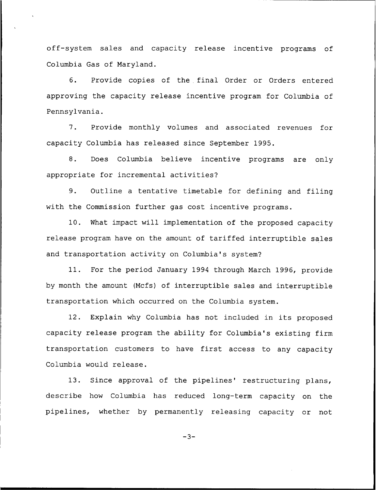off-system sales and capacity release incentive programs of Columbia Gas of Maryland.

6. Provide copies of the final Order or Orders entered approving the capacity release incentive program for Columbia of Pennsylvania.

7. Provide monthly volumes and associated revenues for capacity Columbia has released since September 1995.

8. Does Columbia believe incentive programs are only appropriate for incremental activities'?

9. Outline a tentative timetable for defining and filing with the Commission further gas cost incentive programs.

10. What impact will implementation of the proposed capacity release program have on the amount of tariffed interruptible sales and transportation activity on Columbia's system?

11. For the period January 1994 through March 1996, provide by month the amount (Mcfs) of interruptible sales and interruptible transportation which occurred on the Columbia system.

12. Explain why Columbia has not included in its proposed capacity release program the ability for Columbia's existing firm transportation customers to have first access to any capacity Columbia would release.

13. Since approval of the pipelines' restructuring plans, describe how Columbia has reduced long-term capacity on the pipelines, whether by permanently releasing capacity or not

 $-3-$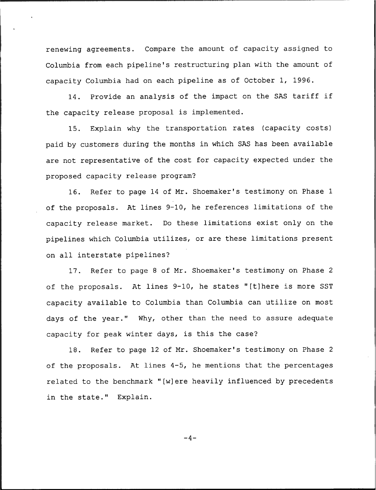renewing agreements. Compare the amount of capacity assigned to Columbia from each pipeline's restructuring plan with the amount of capacity Columbia had on each pipeline as of October 1, 1996.

14. Provide an analysis of the impact on the SAS tariff if the capacity release proposal is implemented.

15. Explain why the transportation rates (capacity costs) paid by customers during the months in which SAS has been available are not representative of the cost for capacity expected under the proposed capacity release program?

16. Refer to page 14 of Mr. Shoemaker's testimony on Phase 1 of the proposals. At lines 9-10, he references limitations of the capacity release market. Do these limitations exist only on the pipelines which Columbia utilizes, or are these limitations present on all interstate pipelines?

17. Refer to page <sup>8</sup> of Mr. Shoemaker's testimony on Phase <sup>2</sup> of the proposals. At lines 9-10, he states "[t]here is more SST capacity available to Columbia than Columbia can utilize on most days of the year." Why, other than the need to assure adequate capacity for peak winter days, is this the case?

18. Refer to page 12 of Mr. Shoemaker's testimony on Phase <sup>2</sup> of the proposals. At lines 4-5, he mentions that the percentages related to the benchmark "[w]ere heavily influenced by precedents in the state." Explain.

 $-4-$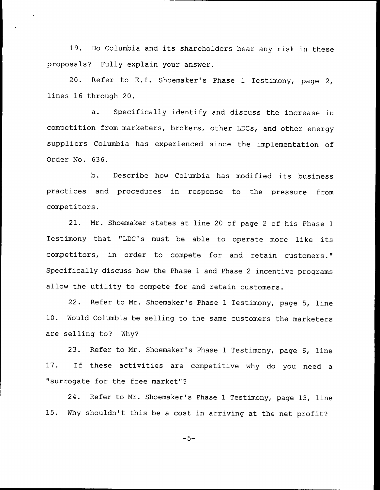19. Do Columbia and its shareholders bear any risk in these proposals? Fully explain your answer.

20. Refer to E.I. Shoemaker's Phase <sup>1</sup> Testimony, page 2, lines 16 through 20.

a. Specifically identify and discuss the increase in competition from marketers, brokers, other LDCs, and other energy suppliers Columbia has experienced since the implementation of Order No. 636.

b. Describe how Columbia has modified its business practices and procedures in response to the pressure from competitors.

21. Mr. Shoemaker states at line <sup>20</sup> of page <sup>2</sup> of his Phase <sup>1</sup> Testimony that "LDC's must be able to operate more like its competitors, in order to compete for and retain customers." Specifically discuss how the Phase <sup>1</sup> and Phase <sup>2</sup> incentive programs allow the utility to compete for and retain customers.

22. Refer to Mr. Shoemaker's Phase <sup>1</sup> Testimony, page 5, line 10. Would Columbia be selling to the same customers the marketers are selling to? Why?

23. Refer to Mr. Shoemaker's Phase <sup>1</sup> Testimony, page 6, line 17. If these activities are competitive why do you need <sup>a</sup> "surrogate for the free market"?

24. Refer to Mr. Shoemaker's Phase <sup>1</sup> Testimony, page 13, line 15. Why shouldn't this be <sup>a</sup> cost in arriving at the net profit?

 $-5-$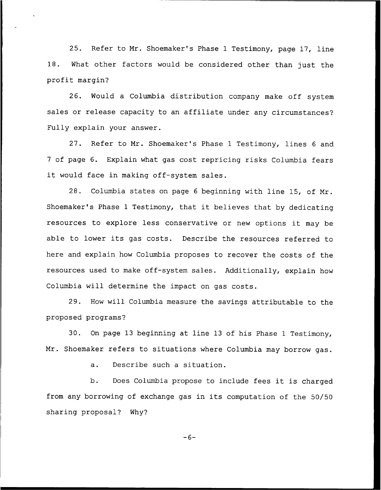25. Refer to Mr. Shoemaker's Phase <sup>1</sup> Testimony, page 17, line 18. What other factors would be considered other than just the profit margin'?

26. Would a Columbia distribution company make off system sales or release capacity to an affiliate under any circumstances? Fully explain your answer.

27. Refer to Mr. Shoemaker's Phase <sup>1</sup> Testimony, lines <sup>6</sup> and 7 of page 6. Explain what gas cost repricing risks Columbia fears it would face in making off-system sales.

28. Columbia states on page <sup>6</sup> beginning with line 15, of Mr. Shoemaker's Phase <sup>1</sup> Testimony, that it believes that by dedicating resources to explore less conservative or new options it may be able to lower its gas costs. Describe the resources referred to here and explain how Columbia proposes to recover the costs of the resources used to make off-system sales. Additionally, explain how Columbia will determine the impact on gas costs.

29. How will Columbia measure the savings attributable to the proposed programs'?

30. On page 13 beginning at line 13 of his Phase <sup>1</sup> Testimony, Mr. Shoemaker refers to situations where Columbia may borrow gas.

a. Describe such <sup>a</sup> situation.

b. Does Columbia propose to include fees it is charged from any borrowing of exchange gas in its computation of the 50/50 sharing proposal? Why?

 $-6-$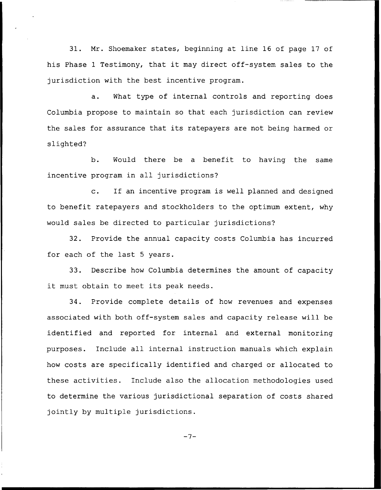31. Nr. Shoemaker states, beginning at line 16 of page 17 of his Phase <sup>1</sup> Testimony, that it may direct off-system sales to the jurisdiction with the best incentive program.

a. What type of internal controls and reporting does Columbia propose to maintain so that each jurisdiction can review the sales for assurance that its ratepayers are not being harmed or slighted?

b. Would there be a benefit to having the same incentive program in all jurisdictions?

c. If an incentive program is well planned and designed to benefit ratepayers and stockholders to the optimum extent, why would sales be directed to particular jurisdictions?

32. Provide the annual capacity costs Columbia has incurred for each of the last <sup>5</sup> years.

33. Describe how Columbia determines the amount of capacity it must obtain to meet its peak needs.

34. Provide complete details of how revenues and expenses associated with both off-system sales and capacity release will be identified and reported for internal and external monitoring purposes. Include all internal instruction manuals which explain how costs are specifically identified and charged or allocated to these activities. Include also the allocation methodologies used to determine the various jurisdictional separation of costs shared jointly by multiple jurisdictions.

 $-7-$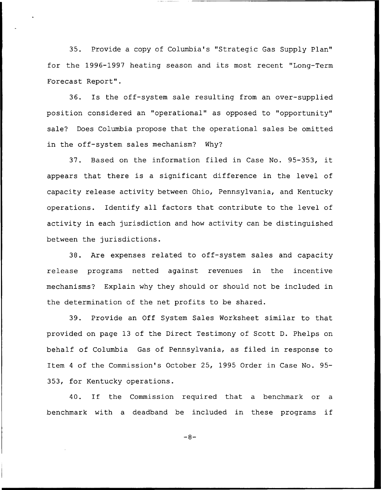35. Provide a copy of Columbia's "Strategic Gas Supply Plan" for the 1996-1997 heating season and its most recent "Long-Term Forecast Report".

36. Is the off-system sale resulting from an over-supplied position considered an "operational" as opposed to "opportunity" sale'? Does Columbia propose that the operational sales be omitted in the off-system sales mechanism? Why?

37. Based on the information filed in Case No. 95-353, it appears that there is a significant difference in the level of capacity release activity between Ohio, Pennsylvania, and Kentucky operations. Identify all factors that contribute to the level of activity in each jurisdiction and how activity can be distinguished between the jurisdictions.

38. Are expenses related to off-system sales and capacity release programs netted against revenues in the incentive mechanisms? Explain why they should or should not be included in the determination of the net profits to be shared.

39. Provide an Off System Sales Worksheet similar to that provided on page 13 of the Direct Testimony of Scott D. Phelps on behalf of Columbia Gas of Pennsylvania, as filed in response to Item <sup>4</sup> of the Commission's October 25, 1995 Order in Case No. 95- 353, for Kentucky operations.

40. If the Commission required that <sup>a</sup> benchmark or <sup>a</sup> benchmark with <sup>a</sup> deadband be included in these programs if

 $-8-$